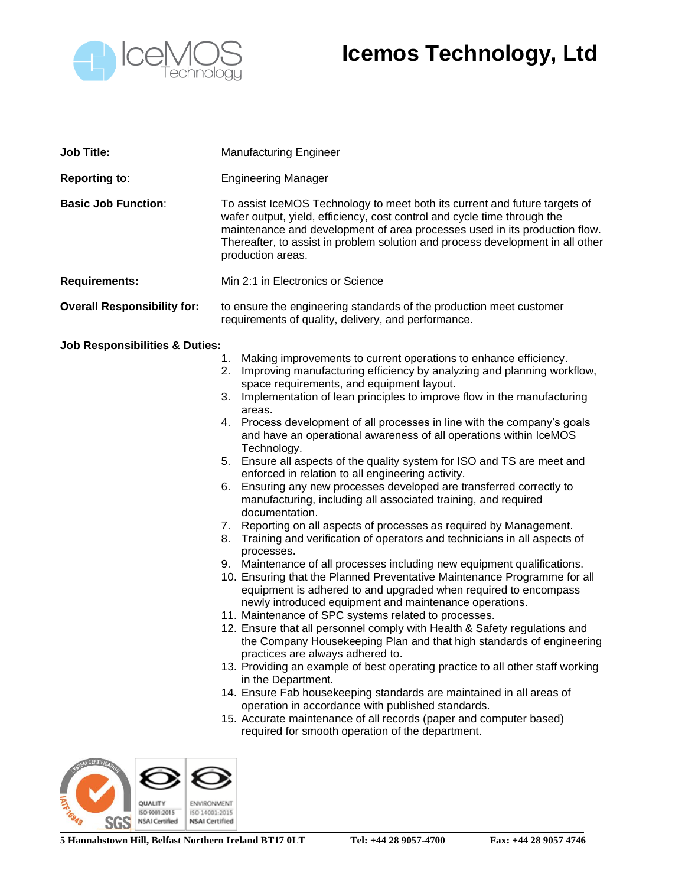

## **Icemos Technology, Ltd**

| <b>Job Title:</b>                                                                                                       | <b>Manufacturing Engineer</b>                                                                                                                                                                                                                                                                                                                                                                                                                                                                                                                                                                                                                                                                                                                                                                                                                                                                                                                                                                                                                                                                                                                                                                                                                                                                                                                                                                                                                                                                                                                                                                                                                                                                                                                                                                                                           |
|-------------------------------------------------------------------------------------------------------------------------|-----------------------------------------------------------------------------------------------------------------------------------------------------------------------------------------------------------------------------------------------------------------------------------------------------------------------------------------------------------------------------------------------------------------------------------------------------------------------------------------------------------------------------------------------------------------------------------------------------------------------------------------------------------------------------------------------------------------------------------------------------------------------------------------------------------------------------------------------------------------------------------------------------------------------------------------------------------------------------------------------------------------------------------------------------------------------------------------------------------------------------------------------------------------------------------------------------------------------------------------------------------------------------------------------------------------------------------------------------------------------------------------------------------------------------------------------------------------------------------------------------------------------------------------------------------------------------------------------------------------------------------------------------------------------------------------------------------------------------------------------------------------------------------------------------------------------------------------|
| <b>Reporting to:</b>                                                                                                    | <b>Engineering Manager</b>                                                                                                                                                                                                                                                                                                                                                                                                                                                                                                                                                                                                                                                                                                                                                                                                                                                                                                                                                                                                                                                                                                                                                                                                                                                                                                                                                                                                                                                                                                                                                                                                                                                                                                                                                                                                              |
| <b>Basic Job Function:</b>                                                                                              | To assist IceMOS Technology to meet both its current and future targets of<br>wafer output, yield, efficiency, cost control and cycle time through the<br>maintenance and development of area processes used in its production flow.<br>Thereafter, to assist in problem solution and process development in all other<br>production areas.                                                                                                                                                                                                                                                                                                                                                                                                                                                                                                                                                                                                                                                                                                                                                                                                                                                                                                                                                                                                                                                                                                                                                                                                                                                                                                                                                                                                                                                                                             |
| <b>Requirements:</b>                                                                                                    | Min 2:1 in Electronics or Science                                                                                                                                                                                                                                                                                                                                                                                                                                                                                                                                                                                                                                                                                                                                                                                                                                                                                                                                                                                                                                                                                                                                                                                                                                                                                                                                                                                                                                                                                                                                                                                                                                                                                                                                                                                                       |
| <b>Overall Responsibility for:</b>                                                                                      | to ensure the engineering standards of the production meet customer<br>requirements of quality, delivery, and performance.                                                                                                                                                                                                                                                                                                                                                                                                                                                                                                                                                                                                                                                                                                                                                                                                                                                                                                                                                                                                                                                                                                                                                                                                                                                                                                                                                                                                                                                                                                                                                                                                                                                                                                              |
| <b>Job Responsibilities &amp; Duties:</b><br>ISO 9001:2015<br>ISO 14001:2015<br><b>NSAI</b> Certified<br>NSAI Certified | Making improvements to current operations to enhance efficiency.<br>1.<br>2.<br>Improving manufacturing efficiency by analyzing and planning workflow,<br>space requirements, and equipment layout.<br>3. Implementation of lean principles to improve flow in the manufacturing<br>areas.<br>4. Process development of all processes in line with the company's goals<br>and have an operational awareness of all operations within IceMOS<br>Technology.<br>Ensure all aspects of the quality system for ISO and TS are meet and<br>5.<br>enforced in relation to all engineering activity.<br>Ensuring any new processes developed are transferred correctly to<br>6.<br>manufacturing, including all associated training, and required<br>documentation.<br>7. Reporting on all aspects of processes as required by Management.<br>Training and verification of operators and technicians in all aspects of<br>8.<br>processes.<br>9. Maintenance of all processes including new equipment qualifications.<br>10. Ensuring that the Planned Preventative Maintenance Programme for all<br>equipment is adhered to and upgraded when required to encompass<br>newly introduced equipment and maintenance operations.<br>11. Maintenance of SPC systems related to processes.<br>12. Ensure that all personnel comply with Health & Safety regulations and<br>the Company Housekeeping Plan and that high standards of engineering<br>practices are always adhered to.<br>13. Providing an example of best operating practice to all other staff working<br>in the Department.<br>14. Ensure Fab housekeeping standards are maintained in all areas of<br>operation in accordance with published standards.<br>15. Accurate maintenance of all records (paper and computer based)<br>required for smooth operation of the department. |

**5 Hannahstown Hill, Belfast Northern Ireland BT17 0LT Tel: +44 28 9057-4700 Fax: +44 28 9057 4746**